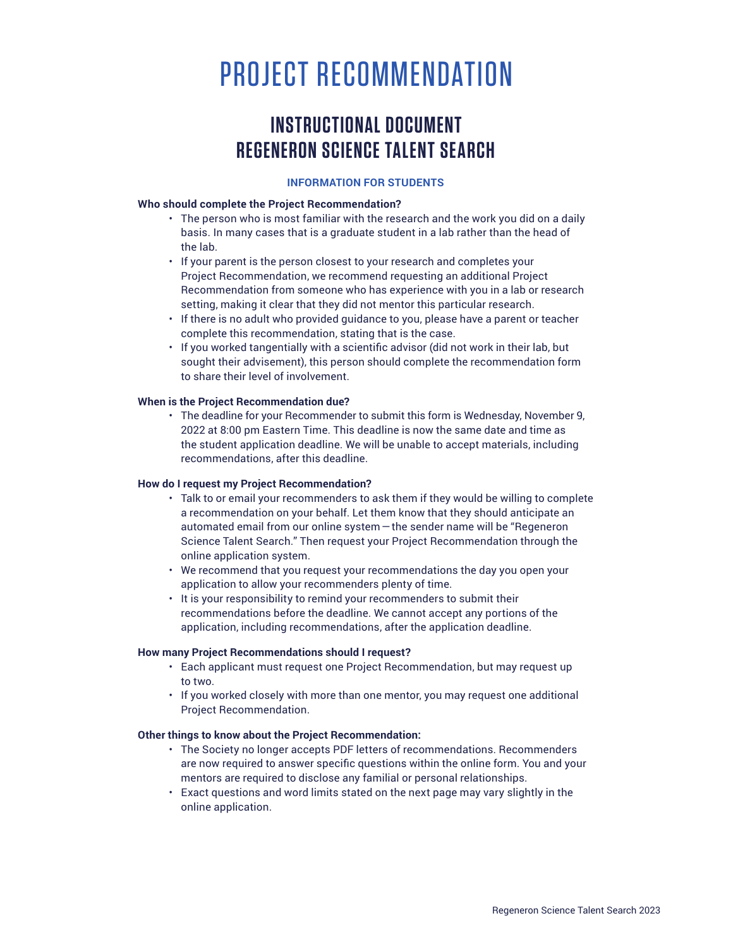# PROJECT RECOMMENDATION

# **INSTRUCTIONAL DOCUMENT REGENERON SCIENCE TALENT SEARCH**

#### **INFORMATION FOR STUDENTS**

### **Who should complete the Project Recommendation?**

- The person who is most familiar with the research and the work you did on a daily basis. In many cases that is a graduate student in a lab rather than the head of the lab.
- If your parent is the person closest to your research and completes your Project Recommendation, we recommend requesting an additional Project Recommendation from someone who has experience with you in a lab or research setting, making it clear that they did not mentor this particular research.
- If there is no adult who provided guidance to you, please have a parent or teacher complete this recommendation, stating that is the case.
- If you worked tangentially with a scientific advisor (did not work in their lab, but sought their advisement), this person should complete the recommendation form to share their level of involvement.

#### **When is the Project Recommendation due?**

• The deadline for your Recommender to submit this form is Wednesday, November 9, 2022 at 8:00 pm Eastern Time. This deadline is now the same date and time as the student application deadline. We will be unable to accept materials, including recommendations, after this deadline.

#### **How do I request my Project Recommendation?**

- Talk to or email your recommenders to ask them if they would be willing to complete a recommendation on your behalf. Let them know that they should anticipate an automated email from our online system—the sender name will be "Regeneron Science Talent Search." Then request your Project Recommendation through the online application system.
- We recommend that you request your recommendations the day you open your application to allow your recommenders plenty of time.
- It is your responsibility to remind your recommenders to submit their recommendations before the deadline. We cannot accept any portions of the application, including recommendations, after the application deadline.

#### **How many Project Recommendations should I request?**

- Each applicant must request one Project Recommendation, but may request up to two.
- If you worked closely with more than one mentor, you may request one additional Project Recommendation.

#### **Other things to know about the Project Recommendation:**

- The Society no longer accepts PDF letters of recommendations. Recommenders are now required to answer specific questions within the online form. You and your mentors are required to disclose any familial or personal relationships.
- Exact questions and word limits stated on the next page may vary slightly in the online application.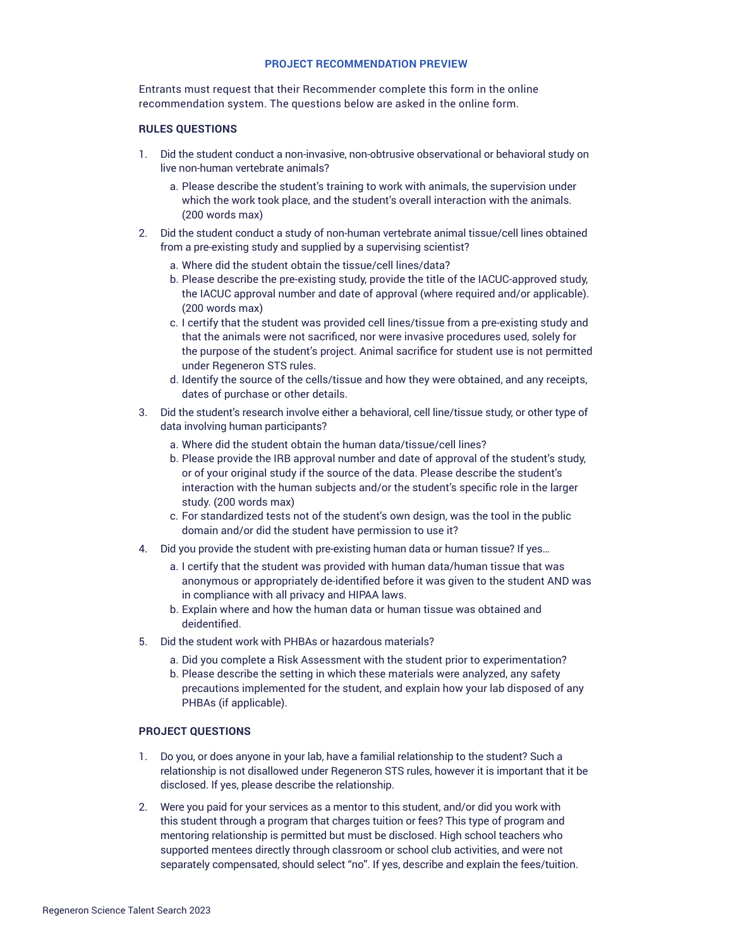#### **PROJECT RECOMMENDATION PREVIEW**

Entrants must request that their Recommender complete this form in the online recommendation system. The questions below are asked in the online form.

#### **RULES QUESTIONS**

- 1. Did the student conduct a non-invasive, non-obtrusive observational or behavioral study on live non-human vertebrate animals?
	- a. Please describe the student's training to work with animals, the supervision under which the work took place, and the student's overall interaction with the animals. (200 words max)
- 2. Did the student conduct a study of non-human vertebrate animal tissue/cell lines obtained from a pre-existing study and supplied by a supervising scientist?
	- a. Where did the student obtain the tissue/cell lines/data?
	- b. Please describe the pre-existing study, provide the title of the IACUC-approved study, the IACUC approval number and date of approval (where required and/or applicable). (200 words max)
	- c. I certify that the student was provided cell lines/tissue from a pre-existing study and that the animals were not sacrificed, nor were invasive procedures used, solely for the purpose of the student's project. Animal sacrifice for student use is not permitted under Regeneron STS rules.
	- d. Identify the source of the cells/tissue and how they were obtained, and any receipts, dates of purchase or other details.
- 3. Did the student's research involve either a behavioral, cell line/tissue study, or other type of data involving human participants?
	- a. Where did the student obtain the human data/tissue/cell lines?
	- b. Please provide the IRB approval number and date of approval of the student's study, or of your original study if the source of the data. Please describe the student's interaction with the human subjects and/or the student's specific role in the larger study. (200 words max)
	- c. For standardized tests not of the student's own design, was the tool in the public domain and/or did the student have permission to use it?
- 4. Did you provide the student with pre-existing human data or human tissue? If yes…
	- a. I certify that the student was provided with human data/human tissue that was anonymous or appropriately de-identified before it was given to the student AND was in compliance with all privacy and HIPAA laws.
	- b. Explain where and how the human data or human tissue was obtained and deidentified.
- 5. Did the student work with PHBAs or hazardous materials?
	- a. Did you complete a Risk Assessment with the student prior to experimentation?
	- b. Please describe the setting in which these materials were analyzed, any safety precautions implemented for the student, and explain how your lab disposed of any PHBAs (if applicable).

#### **PROJECT QUESTIONS**

- 1. Do you, or does anyone in your lab, have a familial relationship to the student? Such a relationship is not disallowed under Regeneron STS rules, however it is important that it be disclosed. If yes, please describe the relationship.
- 2. Were you paid for your services as a mentor to this student, and/or did you work with this student through a program that charges tuition or fees? This type of program and mentoring relationship is permitted but must be disclosed. High school teachers who supported mentees directly through classroom or school club activities, and were not separately compensated, should select "no". If yes, describe and explain the fees/tuition.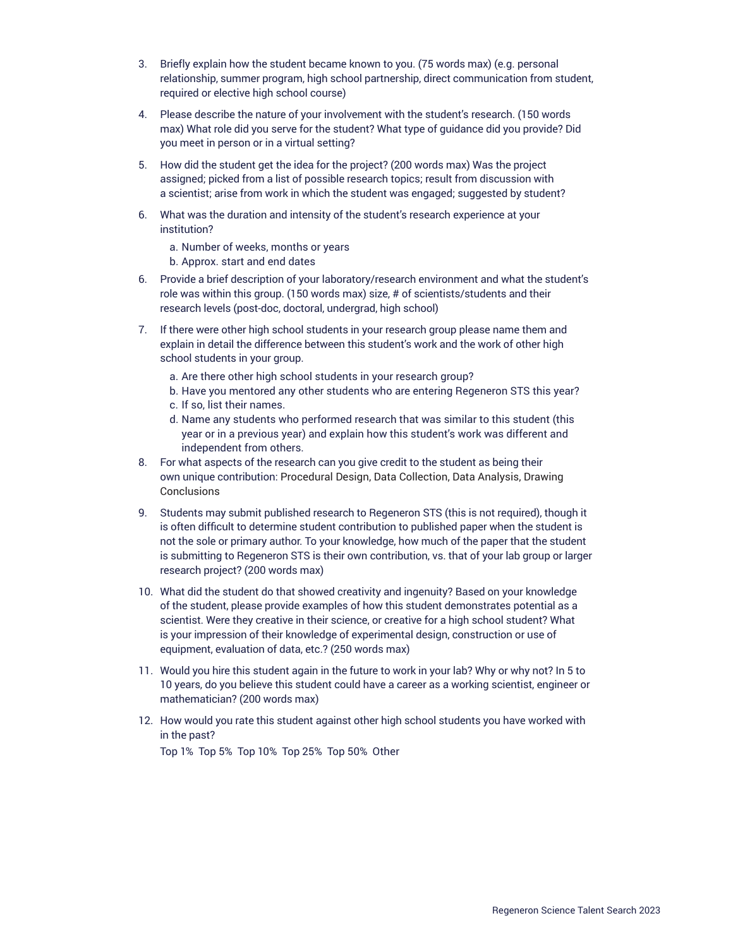- 3. Briefly explain how the student became known to you. (75 words max) (e.g. personal relationship, summer program, high school partnership, direct communication from student, required or elective high school course)
- 4. Please describe the nature of your involvement with the student's research. (150 words max) What role did you serve for the student? What type of guidance did you provide? Did you meet in person or in a virtual setting?
- 5. How did the student get the idea for the project? (200 words max) Was the project assigned; picked from a list of possible research topics; result from discussion with a scientist; arise from work in which the student was engaged; suggested by student?
- 6. What was the duration and intensity of the student's research experience at your institution?
	- a. Number of weeks, months or years
	- b. Approx. start and end dates
- 6. Provide a brief description of your laboratory/research environment and what the student's role was within this group. (150 words max) size, # of scientists/students and their research levels (post-doc, doctoral, undergrad, high school)
- 7. If there were other high school students in your research group please name them and explain in detail the difference between this student's work and the work of other high school students in your group.
	- a. Are there other high school students in your research group?
	- b. Have you mentored any other students who are entering Regeneron STS this year?
	- c. If so, list their names.
	- d. Name any students who performed research that was similar to this student (this year or in a previous year) and explain how this student's work was different and independent from others.
- 8. For what aspects of the research can you give credit to the student as being their own unique contribution: Procedural Design, Data Collection, Data Analysis, Drawing Conclusions
- 9. Students may submit published research to Regeneron STS (this is not required), though it is often difficult to determine student contribution to published paper when the student is not the sole or primary author. To your knowledge, how much of the paper that the student is submitting to Regeneron STS is their own contribution, vs. that of your lab group or larger research project? (200 words max)
- 10. What did the student do that showed creativity and ingenuity? Based on your knowledge of the student, please provide examples of how this student demonstrates potential as a scientist. Were they creative in their science, or creative for a high school student? What is your impression of their knowledge of experimental design, construction or use of equipment, evaluation of data, etc.? (250 words max)
- 11. Would you hire this student again in the future to work in your lab? Why or why not? In 5 to 10 years, do you believe this student could have a career as a working scientist, engineer or mathematician? (200 words max)
- 12. How would you rate this student against other high school students you have worked with in the past?

Top 1% Top 5% Top 10% Top 25% Top 50% Other